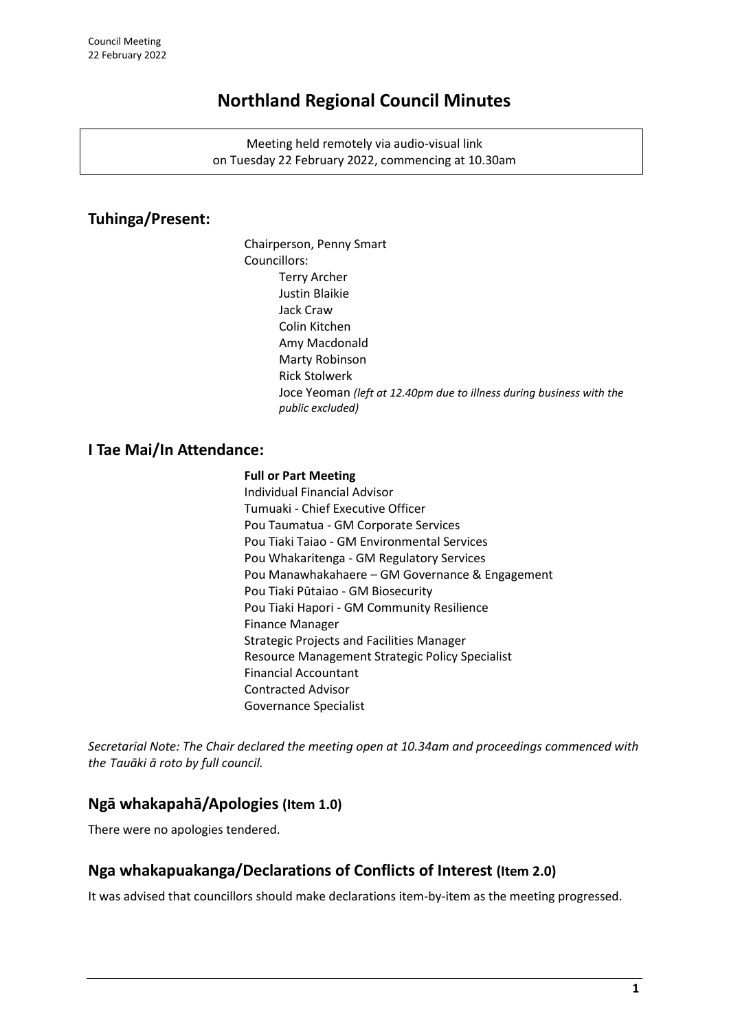# **Northland Regional Council Minutes**

Meeting held remotely via audio-visual link on Tuesday 22 February 2022, commencing at 10.30am

# **Tuhinga/Present:**

Chairperson, Penny Smart Councillors: Terry Archer Justin Blaikie Jack Craw Colin Kitchen Amy Macdonald Marty Robinson Rick Stolwerk Joce Yeoman *(left at 12.40pm due to illness during business with the public excluded)*

# **I Tae Mai/In Attendance:**

### **Full or Part Meeting**

Individual Financial Advisor Tumuaki - Chief Executive Officer Pou Taumatua - GM Corporate Services Pou Tiaki Taiao - GM Environmental Services Pou Whakaritenga - GM Regulatory Services Pou Manawhakahaere – GM Governance & Engagement Pou Tiaki Pūtaiao - GM Biosecurity Pou Tiaki Hapori - GM Community Resilience Finance Manager Strategic Projects and Facilities Manager Resource Management Strategic Policy Specialist Financial Accountant Contracted Advisor Governance Specialist

*Secretarial Note: The Chair declared the meeting open at 10.34am and proceedings commenced with the Tauāki ā roto by full council.* 

# **Ngā whakapahā/Apologies (Item 1.0)**

There were no apologies tendered.

# **Nga whakapuakanga/Declarations of Conflicts of Interest (Item 2.0)**

It was advised that councillors should make declarations item-by-item as the meeting progressed.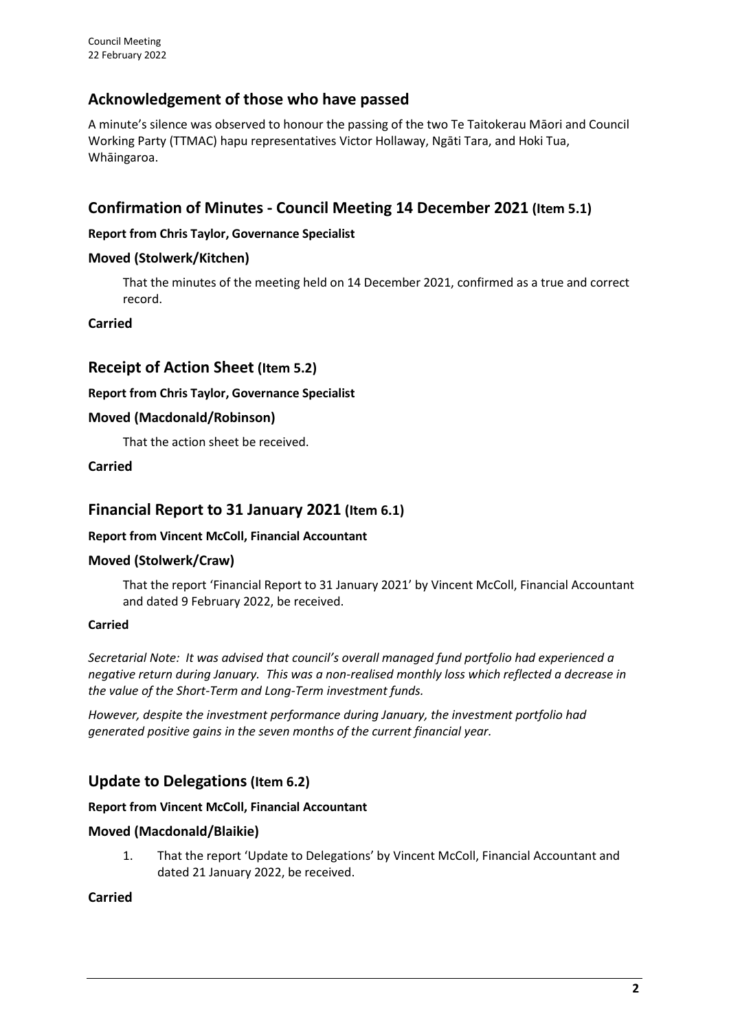# **Acknowledgement of those who have passed**

A minute's silence was observed to honour the passing of the two Te Taitokerau Māori and Council Working Party (TTMAC) hapu representatives Victor Hollaway, Ngāti Tara, and Hoki Tua, Whāingaroa.

# **Confirmation of Minutes - Council Meeting 14 December 2021 (Item 5.1)**

## **Report from Chris Taylor, Governance Specialist**

## **Moved (Stolwerk/Kitchen)**

That the minutes of the meeting held on 14 December 2021, confirmed as a true and correct record.

### **Carried**

# **Receipt of Action Sheet (Item 5.2)**

### **Report from Chris Taylor, Governance Specialist**

### **Moved (Macdonald/Robinson)**

That the action sheet be received.

**Carried**

# **Financial Report to 31 January 2021 (Item 6.1)**

## **Report from Vincent McColl, Financial Accountant**

#### **Moved (Stolwerk/Craw)**

That the report 'Financial Report to 31 January 2021' by Vincent McColl, Financial Accountant and dated 9 February 2022, be received.

#### **Carried**

*Secretarial Note: It was advised that council's overall managed fund portfolio had experienced a negative return during January. This was a non-realised monthly loss which reflected a decrease in the value of the Short-Term and Long-Term investment funds.*

*However, despite the investment performance during January, the investment portfolio had generated positive gains in the seven months of the current financial year.*

# **Update to Delegations (Item 6.2)**

#### **Report from Vincent McColl, Financial Accountant**

## **Moved (Macdonald/Blaikie)**

1. That the report 'Update to Delegations' by Vincent McColl, Financial Accountant and dated 21 January 2022, be received.

**Carried**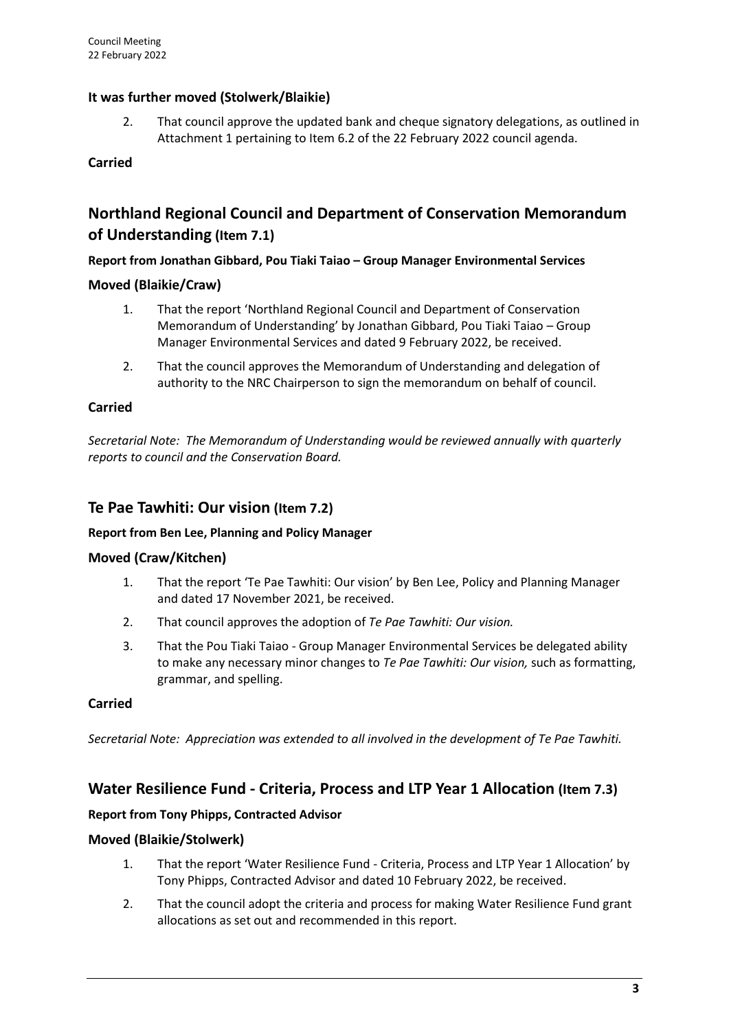# **It was further moved (Stolwerk/Blaikie)**

2. That council approve the updated bank and cheque signatory delegations, as outlined in Attachment 1 pertaining to Item 6.2 of the 22 February 2022 council agenda.

## **Carried**

# **Northland Regional Council and Department of Conservation Memorandum of Understanding (Item 7.1)**

### **Report from Jonathan Gibbard, Pou Tiaki Taiao – Group Manager Environmental Services**

## **Moved (Blaikie/Craw)**

- 1. That the report 'Northland Regional Council and Department of Conservation Memorandum of Understanding' by Jonathan Gibbard, Pou Tiaki Taiao – Group Manager Environmental Services and dated 9 February 2022, be received.
- 2. That the council approves the Memorandum of Understanding and delegation of authority to the NRC Chairperson to sign the memorandum on behalf of council.

### **Carried**

*Secretarial Note: The Memorandum of Understanding would be reviewed annually with quarterly reports to council and the Conservation Board.*

# **Te Pae Tawhiti: Our vision (Item 7.2)**

#### **Report from Ben Lee, Planning and Policy Manager**

#### **Moved (Craw/Kitchen)**

- 1. That the report 'Te Pae Tawhiti: Our vision' by Ben Lee, Policy and Planning Manager and dated 17 November 2021, be received.
- 2. That council approves the adoption of *Te Pae Tawhiti: Our vision.*
- 3. That the Pou Tiaki Taiao Group Manager Environmental Services be delegated ability to make any necessary minor changes to *Te Pae Tawhiti: Our vision,* such as formatting, grammar, and spelling.

#### **Carried**

*Secretarial Note: Appreciation was extended to all involved in the development of Te Pae Tawhiti.*

# **Water Resilience Fund - Criteria, Process and LTP Year 1 Allocation (Item 7.3)**

## **Report from Tony Phipps, Contracted Advisor**

## **Moved (Blaikie/Stolwerk)**

- 1. That the report 'Water Resilience Fund Criteria, Process and LTP Year 1 Allocation' by Tony Phipps, Contracted Advisor and dated 10 February 2022, be received.
- 2. That the council adopt the criteria and process for making Water Resilience Fund grant allocations as set out and recommended in this report.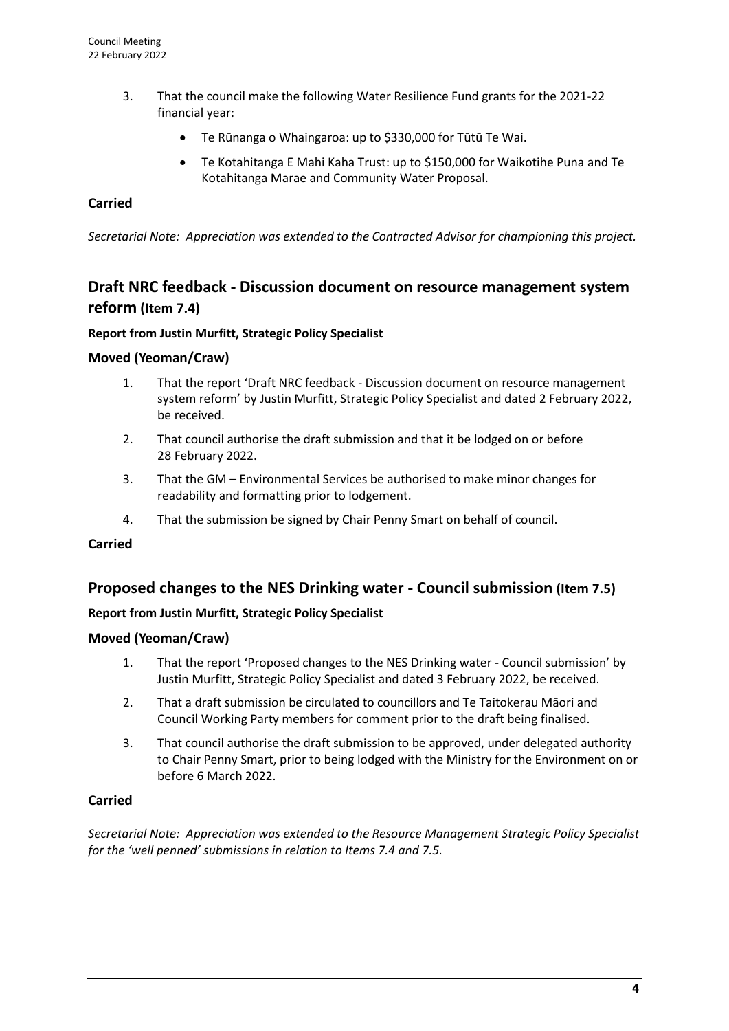- 3. That the council make the following Water Resilience Fund grants for the 2021-22 financial year:
	- Te Rūnanga o Whaingaroa: up to \$330,000 for Tūtū Te Wai.
	- Te Kotahitanga E Mahi Kaha Trust: up to \$150,000 for Waikotihe Puna and Te Kotahitanga Marae and Community Water Proposal.

## **Carried**

*Secretarial Note: Appreciation was extended to the Contracted Advisor for championing this project.*

# **Draft NRC feedback - Discussion document on resource management system reform (Item 7.4)**

### **Report from Justin Murfitt, Strategic Policy Specialist**

### **Moved (Yeoman/Craw)**

- 1. That the report 'Draft NRC feedback Discussion document on resource management system reform' by Justin Murfitt, Strategic Policy Specialist and dated 2 February 2022, be received.
- 2. That council authorise the draft submission and that it be lodged on or before 28 February 2022.
- 3. That the GM Environmental Services be authorised to make minor changes for readability and formatting prior to lodgement.
- 4. That the submission be signed by Chair Penny Smart on behalf of council.

#### **Carried**

# **Proposed changes to the NES Drinking water - Council submission (Item 7.5)**

#### **Report from Justin Murfitt, Strategic Policy Specialist**

#### **Moved (Yeoman/Craw)**

- 1. That the report 'Proposed changes to the NES Drinking water Council submission' by Justin Murfitt, Strategic Policy Specialist and dated 3 February 2022, be received.
- 2. That a draft submission be circulated to councillors and Te Taitokerau Māori and Council Working Party members for comment prior to the draft being finalised.
- 3. That council authorise the draft submission to be approved, under delegated authority to Chair Penny Smart, prior to being lodged with the Ministry for the Environment on or before 6 March 2022.

#### **Carried**

*Secretarial Note: Appreciation was extended to the Resource Management Strategic Policy Specialist for the 'well penned' submissions in relation to Items 7.4 and 7.5.*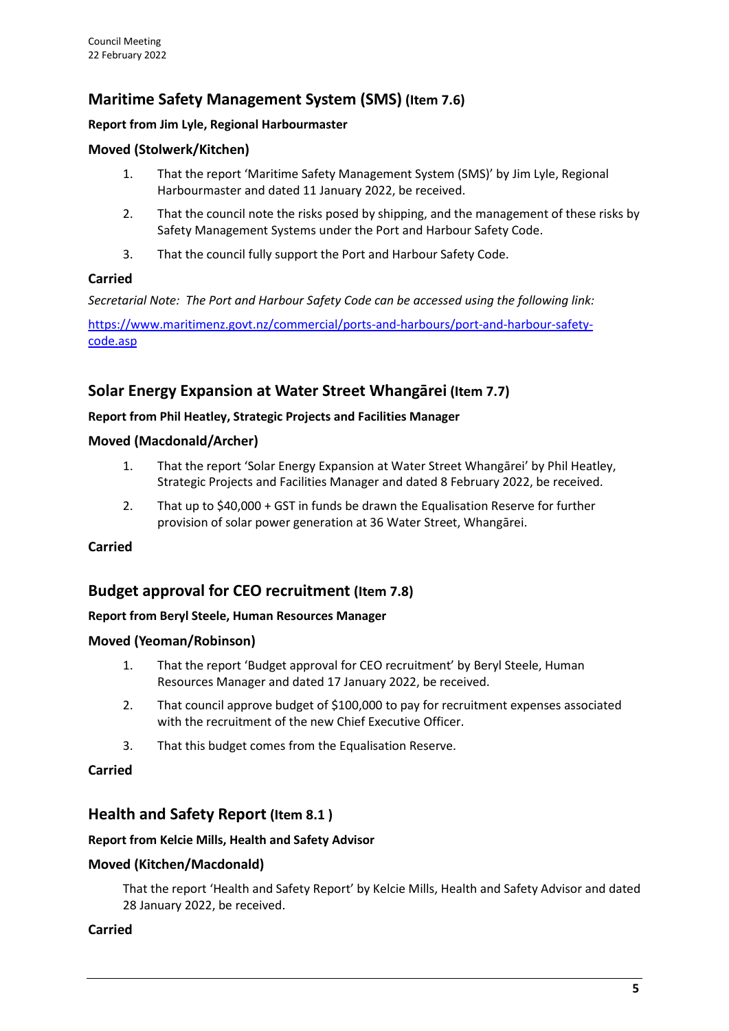# **Maritime Safety Management System (SMS) (Item 7.6)**

# **Report from Jim Lyle, Regional Harbourmaster**

# **Moved (Stolwerk/Kitchen)**

- 1. That the report 'Maritime Safety Management System (SMS)' by Jim Lyle, Regional Harbourmaster and dated 11 January 2022, be received.
- 2. That the council note the risks posed by shipping, and the management of these risks by Safety Management Systems under the Port and Harbour Safety Code.
- 3. That the council fully support the Port and Harbour Safety Code.

## **Carried**

*Secretarial Note: The Port and Harbour Safety Code can be accessed using the following link:*

[https://www.maritimenz.govt.nz/commercial/ports-and-harbours/port-and-harbour-safety](https://www.maritimenz.govt.nz/commercial/ports-and-harbours/port-and-harbour-safety-code.asp)[code.asp](https://www.maritimenz.govt.nz/commercial/ports-and-harbours/port-and-harbour-safety-code.asp)

# **Solar Energy Expansion at Water Street Whangārei (Item 7.7)**

### **Report from Phil Heatley, Strategic Projects and Facilities Manager**

## **Moved (Macdonald/Archer)**

- 1. That the report 'Solar Energy Expansion at Water Street Whangārei' by Phil Heatley, Strategic Projects and Facilities Manager and dated 8 February 2022, be received.
- 2. That up to \$40,000 + GST in funds be drawn the Equalisation Reserve for further provision of solar power generation at 36 Water Street, Whangārei.

## **Carried**

# **Budget approval for CEO recruitment (Item 7.8)**

## **Report from Beryl Steele, Human Resources Manager**

## **Moved (Yeoman/Robinson)**

- 1. That the report 'Budget approval for CEO recruitment' by Beryl Steele, Human Resources Manager and dated 17 January 2022, be received.
- 2. That council approve budget of \$100,000 to pay for recruitment expenses associated with the recruitment of the new Chief Executive Officer.
- 3. That this budget comes from the Equalisation Reserve.

## **Carried**

# **Health and Safety Report (Item 8.1 )**

#### **Report from Kelcie Mills, Health and Safety Advisor**

## **Moved (Kitchen/Macdonald)**

That the report 'Health and Safety Report' by Kelcie Mills, Health and Safety Advisor and dated 28 January 2022, be received.

## **Carried**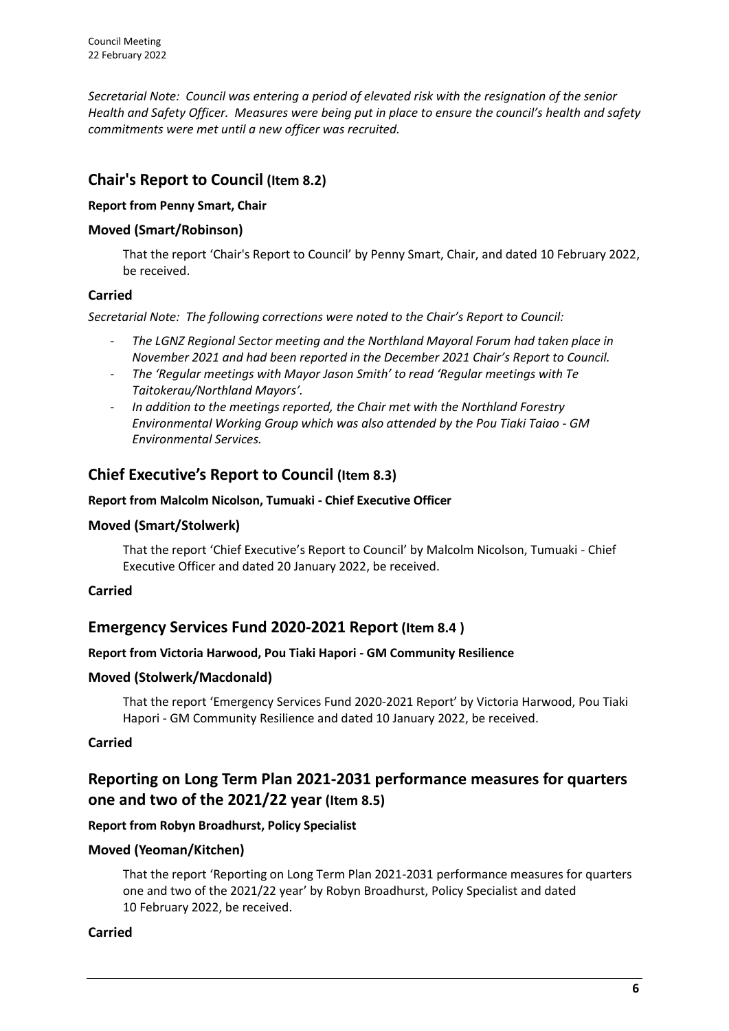*Secretarial Note: Council was entering a period of elevated risk with the resignation of the senior Health and Safety Officer. Measures were being put in place to ensure the council's health and safety commitments were met until a new officer was recruited.*

# **Chair's Report to Council (Item 8.2)**

# **Report from Penny Smart, Chair**

# **Moved (Smart/Robinson)**

That the report 'Chair's Report to Council' by Penny Smart, Chair, and dated 10 February 2022, be received.

# **Carried**

*Secretarial Note: The following corrections were noted to the Chair's Report to Council:*

- *The LGNZ Regional Sector meeting and the Northland Mayoral Forum had taken place in November 2021 and had been reported in the December 2021 Chair's Report to Council.*
- *The 'Regular meetings with Mayor Jason Smith' to read 'Regular meetings with Te Taitokerau/Northland Mayors'.*
- *In addition to the meetings reported, the Chair met with the Northland Forestry Environmental Working Group which was also attended by the Pou Tiaki Taiao - GM Environmental Services.*

# **Chief Executive's Report to Council (Item 8.3)**

### **Report from Malcolm Nicolson, Tumuaki - Chief Executive Officer**

## **Moved (Smart/Stolwerk)**

That the report 'Chief Executive's Report to Council' by Malcolm Nicolson, Tumuaki - Chief Executive Officer and dated 20 January 2022, be received.

## **Carried**

# **Emergency Services Fund 2020-2021 Report (Item 8.4 )**

## **Report from Victoria Harwood, Pou Tiaki Hapori - GM Community Resilience**

## **Moved (Stolwerk/Macdonald)**

That the report 'Emergency Services Fund 2020-2021 Report' by Victoria Harwood, Pou Tiaki Hapori - GM Community Resilience and dated 10 January 2022, be received.

## **Carried**

# **Reporting on Long Term Plan 2021-2031 performance measures for quarters one and two of the 2021/22 year (Item 8.5)**

## **Report from Robyn Broadhurst, Policy Specialist**

## **Moved (Yeoman/Kitchen)**

That the report 'Reporting on Long Term Plan 2021-2031 performance measures for quarters one and two of the 2021/22 year' by Robyn Broadhurst, Policy Specialist and dated 10 February 2022, be received.

## **Carried**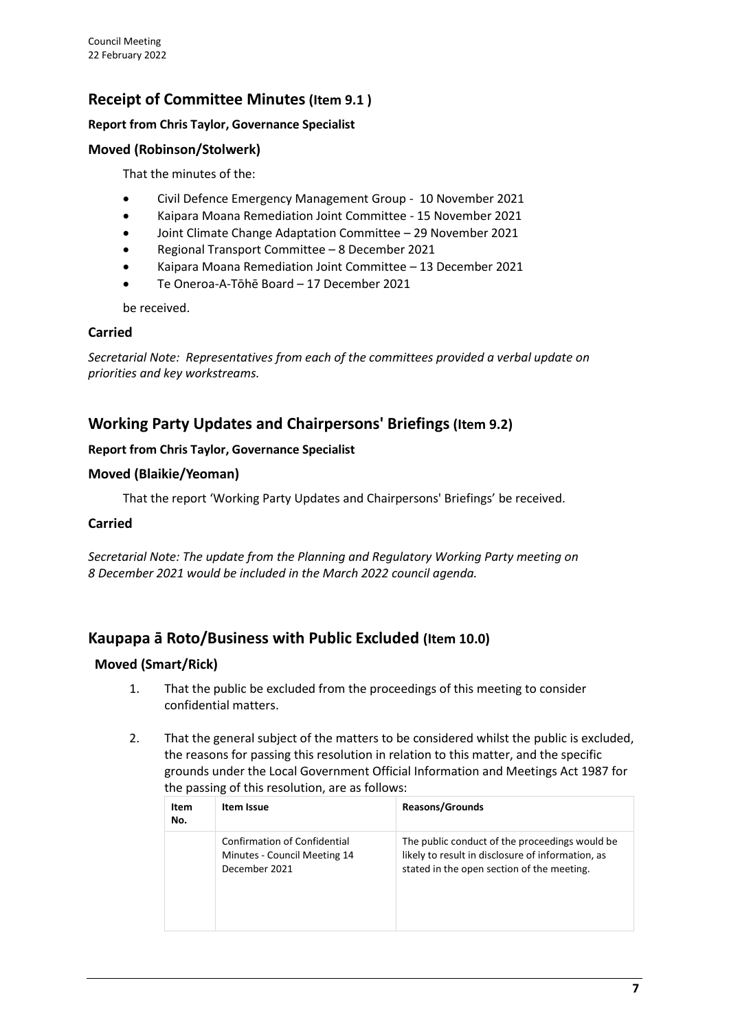# **Receipt of Committee Minutes (Item 9.1 )**

## **Report from Chris Taylor, Governance Specialist**

# **Moved (Robinson/Stolwerk)**

That the minutes of the:

- Civil Defence Emergency Management Group 10 November 2021
- Kaipara Moana Remediation Joint Committee 15 November 2021
- Joint Climate Change Adaptation Committee 29 November 2021
- Regional Transport Committee 8 December 2021
- Kaipara Moana Remediation Joint Committee 13 December 2021
- Te Oneroa-A-Tōhē Board 17 December 2021

be received.

## **Carried**

*Secretarial Note: Representatives from each of the committees provided a verbal update on priorities and key workstreams.*

# **Working Party Updates and Chairpersons' Briefings (Item 9.2)**

# **Report from Chris Taylor, Governance Specialist**

# **Moved (Blaikie/Yeoman)**

That the report 'Working Party Updates and Chairpersons' Briefings' be received.

# **Carried**

*Secretarial Note: The update from the Planning and Regulatory Working Party meeting on 8 December 2021 would be included in the March 2022 council agenda.*

# **Kaupapa ā Roto/Business with Public Excluded (Item 10.0)**

# **Moved (Smart/Rick)**

- 1. That the public be excluded from the proceedings of this meeting to consider confidential matters.
- 2. That the general subject of the matters to be considered whilst the public is excluded, the reasons for passing this resolution in relation to this matter, and the specific grounds under the Local Government Official Information and Meetings Act 1987 for the passing of this resolution, are as follows:

| Item<br>No. | Item Issue                                                                           | <b>Reasons/Grounds</b>                                                                                                                            |
|-------------|--------------------------------------------------------------------------------------|---------------------------------------------------------------------------------------------------------------------------------------------------|
|             | <b>Confirmation of Confidential</b><br>Minutes - Council Meeting 14<br>December 2021 | The public conduct of the proceedings would be<br>likely to result in disclosure of information, as<br>stated in the open section of the meeting. |